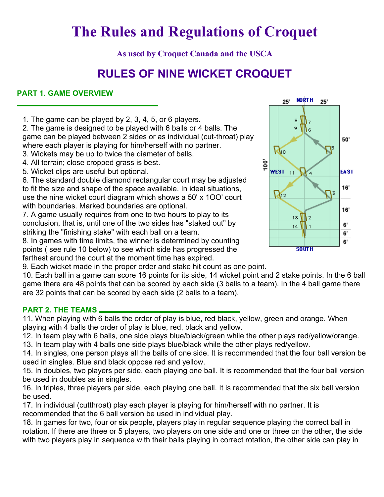# **The Rules and Regulations of Croquet**

**As used by Croquet Canada and the USCA** 

# **RULES OF NINE WICKET CROQUET**

# **PART 1. GAME OVERVIEW**

1. The game can be played by 2, 3, 4, 5, or 6 players.

2. The game is designed to be played with 6 balls or 4 balls. The game can be played between 2 sides or as individual (cut-throat) play where each player is playing for him/herself with no partner.

- 3. Wickets may be up to twice the diameter of balls.
- 4. All terrain; close cropped grass is best.
- 5. Wicket clips are useful but optional.

6. The standard double diamond rectangular court may be adjusted to fit the size and shape of the space available. In ideal situations, use the nine wicket court diagram which shows a 50' x 1OO' court with boundaries. Marked boundaries are optional.

7. A game usually requires from one to two hours to play to its conclusion, that is, until one of the two sides has "staked out" by striking the "finishing stake" with each ball on a team.

8. In games with time limits, the winner is determined by counting points ( see rule 10 below) to see which side has progressed the farthest around the court at the moment time has expired.



9. Each wicket made in the proper order and stake hit count as one point.

10. Each ball in a game can score 16 points for its side, 14 wicket point and 2 stake points. In the 6 ball game there are 48 points that can be scored by each side (3 balls to a team). In the 4 ball game there are 32 points that can be scored by each side (2 balls to a team).

#### **PART 2. THE TEAMS**

11. When playing with 6 balls the order of play is blue, red black, yellow, green and orange. When playing with 4 balls the order of play is blue, red, black and yellow.

12. In team play with 6 balls, one side plays blue/black/green while the other plays red/yellow/orange.

13. In team play with 4 balls one side plays blue/black while the other plays red/yellow.

14. In singles, one person plays all the balls of one side. It is recommended that the four ball version be used in singles. Blue and black oppose red and yellow.

15. In doubles, two players per side, each playing one ball. It is recommended that the four ball version be used in doubles as in singles.

16. In triples, three players per side, each playing one ball. It is recommended that the six ball version be used.

17. In individual (cutthroat) play each player is playing for him/herself with no partner. It is recommended that the 6 ball version be used in individual play.

18. In games for two, four or six people, players play in regular sequence playing the correct ball in rotation. If there are three or 5 players, two players on one side and one or three on the other, the side with two players play in sequence with their balls playing in correct rotation, the other side can play in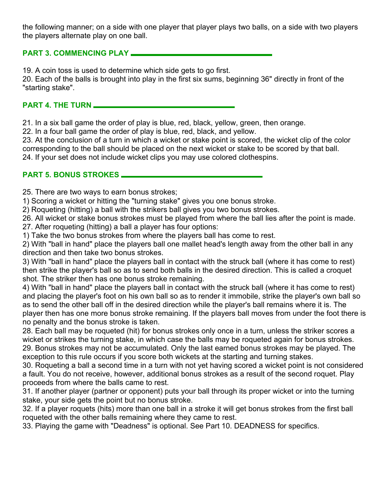the following manner; on a side with one player that player plays two balls, on a side with two players the players alternate play on one ball.

# **PART 3. COMMENCING PLAY**

19. A coin toss is used to determine which side gets to go first.

20. Each of the balls is brought into play in the first six sums, beginning 36" directly in front of the "starting stake".

# **PART 4. THE TURN**

21. In a six ball game the order of play is blue, red, black, yellow, green, then orange.

22. In a four ball game the order of play is blue, red, black, and yellow.

23. At the conclusion of a turn in which a wicket or stake point is scored, the wicket clip of the color corresponding to the ball should be placed on the next wicket or stake to be scored by that ball.

24. If your set does not include wicket clips you may use colored clothespins.

# **PART 5. BONUS STROKES**

25. There are two ways to earn bonus strokes;

1) Scoring a wicket or hitting the "turning stake" gives you one bonus stroke.

2) Roqueting (hitting) a ball with the strikers ball gives you two bonus strokes.

26. All wicket or stake bonus strokes must be played from where the ball lies after the point is made. 27. After roqueting (hitting) a ball a player has four options:

1) Take the two bonus strokes from where the players ball has come to rest.

2) With "ball in hand" place the players ball one mallet head's length away from the other ball in any direction and then take two bonus strokes.

3) With "ball in hand" place the players ball in contact with the struck ball (where it has come to rest) then strike the player's ball so as to send both balls in the desired direction. This is called a croquet shot. The striker then has one bonus stroke remaining.

4) With "ball in hand" place the players ball in contact with the struck ball (where it has come to rest) and placing the player's foot on his own ball so as to render it immobile, strike the player's own ball so as to send the other ball off in the desired direction while the player's ball remains where it is. The player then has one more bonus stroke remaining. If the players ball moves from under the foot there is no penalty and the bonus stroke is taken.

28. Each ball may be roqueted (hit) for bonus strokes only once in a turn, unless the striker scores a wicket or strikes the turning stake, in which case the balls may be roqueted again for bonus strokes. 29. Bonus strokes may not be accumulated. Only the last earned bonus strokes may be played. The exception to this rule occurs if you score both wickets at the starting and turning stakes.

30. Roqueting a ball a second time in a turn with not yet having scored a wicket point is not considered a fault. You do not receive, however, additional bonus strokes as a result of the second roquet. Play proceeds from where the balls came to rest.

31. If another player (partner or opponent) puts your ball through its proper wicket or into the turning stake, your side gets the point but no bonus stroke.

32. If a player roquets (hits) more than one ball in a stroke it will get bonus strokes from the first ball roqueted with the other balls remaining where they came to rest.

33. Playing the game with "Deadness" is optional. See Part 10. DEADNESS for specifics.